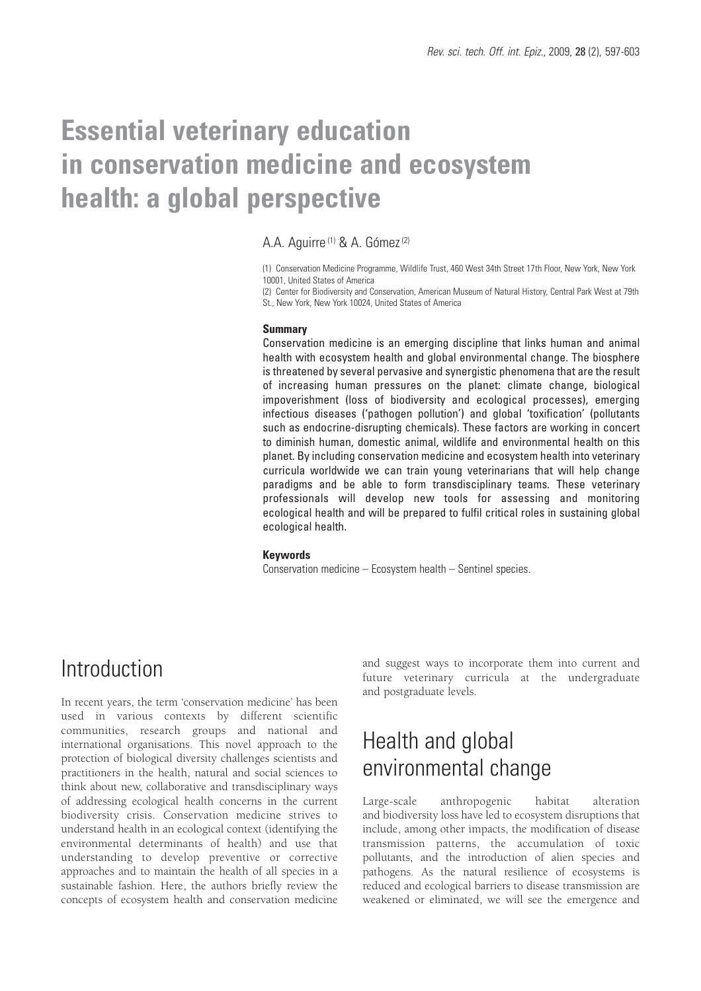# **Essential veterinary education in conservation medicine and ecosystem health: a global perspective**

### A.A. Aguirre<sup>(1)</sup> & A. Gómez<sup>(2)</sup>

(1) Conservation Medicine Programme, Wildlife Trust, 460 West 34th Street 17th Floor, New York, New York 10001, United States of America

(2) Center for Biodiversity and Conservation, American Museum of Natural History, Central Park West at 79th St., New York, New York 10024, United States of America

#### **Summary**

Conservation medicine is an emerging discipline that links human and animal health with ecosystem health and global environmental change. The biosphere is threatened by several pervasive and synergistic phenomena that are the result of increasing human pressures on the planet: climate change, biological impoverishment (loss of biodiversity and ecological processes), emerging infectious diseases ('pathogen pollution') and global 'toxification' (pollutants such as endocrine-disrupting chemicals). These factors are working in concert to diminish human, domestic animal, wildlife and environmental health on this planet. By including conservation medicine and ecosystem health into veterinary curricula worldwide we can train young veterinarians that will help change paradigms and be able to form transdisciplinary teams. These veterinary professionals will develop new tools for assessing and monitoring ecological health and will be prepared to fulfil critical roles in sustaining global ecological health.

#### **Keywords**

Conservation medicine – Ecosystem health – Sentinel species.

### Introduction

In recent years, the term 'conservation medicine' has been used in various contexts by different scientific communities, research groups and national and international organisations. This novel approach to the protection of biological diversity challenges scientists and practitioners in the health, natural and social sciences to think about new, collaborative and transdisciplinary ways of addressing ecological health concerns in the current biodiversity crisis. Conservation medicine strives to understand health in an ecological context (identifying the environmental determinants of health) and use that understanding to develop preventive or corrective approaches and to maintain the health of all species in a sustainable fashion. Here, the authors briefly review the concepts of ecosystem health and conservation medicine

and suggest ways to incorporate them into current and future veterinary curricula at the undergraduate and postgraduate levels.

# Health and global environmental change

Large-scale anthropogenic habitat alteration and biodiversity loss have led to ecosystem disruptions that include, among other impacts, the modification of disease transmission patterns, the accumulation of toxic pollutants, and the introduction of alien species and pathogens. As the natural resilience of ecosystems is reduced and ecological barriers to disease transmission are weakened or eliminated, we will see the emergence and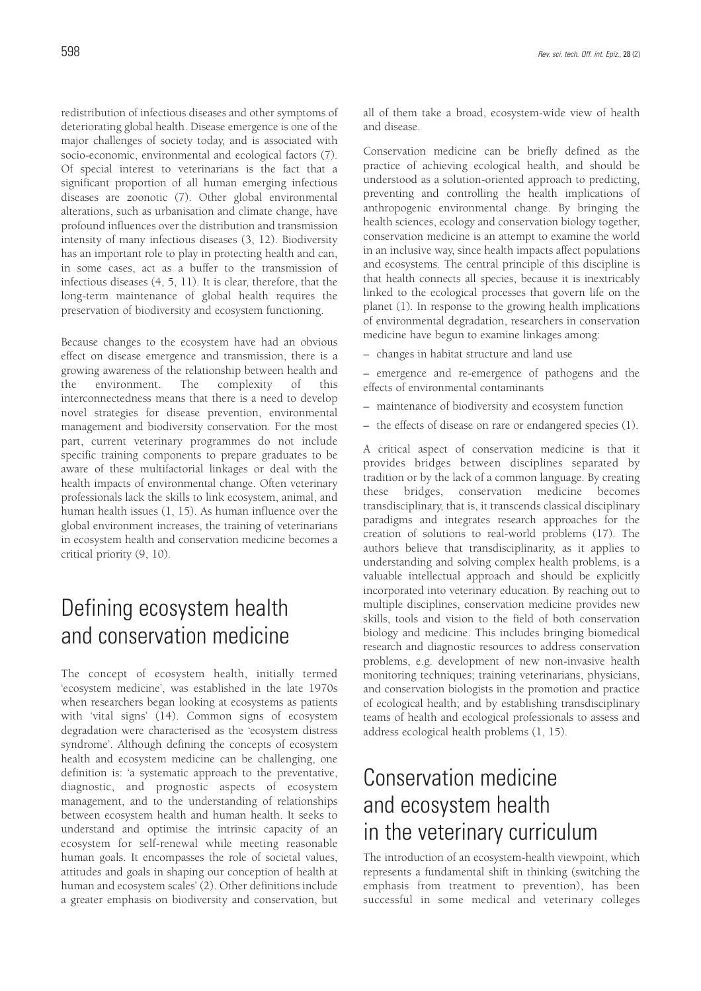redistribution of infectious diseases and other symptoms of deteriorating global health. Disease emergence is one of the major challenges of society today, and is associated with socio-economic, environmental and ecological factors (7). Of special interest to veterinarians is the fact that a significant proportion of all human emerging infectious diseases are zoonotic (7). Other global environmental alterations, such as urbanisation and climate change, have profound influences over the distribution and transmission intensity of many infectious diseases (3, 12). Biodiversity has an important role to play in protecting health and can, in some cases, act as a buffer to the transmission of infectious diseases (4, 5, 11). It is clear, therefore, that the long-term maintenance of global health requires the preservation of biodiversity and ecosystem functioning.

Because changes to the ecosystem have had an obvious effect on disease emergence and transmission, there is a growing awareness of the relationship between health and the environment. The complexity of this interconnectedness means that there is a need to develop novel strategies for disease prevention, environmental management and biodiversity conservation. For the most part, current veterinary programmes do not include specific training components to prepare graduates to be aware of these multifactorial linkages or deal with the health impacts of environmental change. Often veterinary professionals lack the skills to link ecosystem, animal, and human health issues (1, 15). As human influence over the global environment increases, the training of veterinarians in ecosystem health and conservation medicine becomes a critical priority (9, 10).

## Defining ecosystem health and conservation medicine

The concept of ecosystem health, initially termed 'ecosystem medicine', was established in the late 1970s when researchers began looking at ecosystems as patients with 'vital signs' (14). Common signs of ecosystem degradation were characterised as the 'ecosystem distress syndrome'. Although defining the concepts of ecosystem health and ecosystem medicine can be challenging, one definition is: 'a systematic approach to the preventative, diagnostic, and prognostic aspects of ecosystem management, and to the understanding of relationships between ecosystem health and human health. It seeks to understand and optimise the intrinsic capacity of an ecosystem for self-renewal while meeting reasonable human goals. It encompasses the role of societal values, attitudes and goals in shaping our conception of health at human and ecosystem scales' (2). Other definitions include a greater emphasis on biodiversity and conservation, but all of them take a broad, ecosystem-wide view of health and disease.

Conservation medicine can be briefly defined as the practice of achieving ecological health, and should be understood as a solution-oriented approach to predicting, preventing and controlling the health implications of anthropogenic environmental change. By bringing the health sciences, ecology and conservation biology together, conservation medicine is an attempt to examine the world in an inclusive way, since health impacts affect populations and ecosystems. The central principle of this discipline is that health connects all species, because it is inextricably linked to the ecological processes that govern life on the planet (1). In response to the growing health implications of environmental degradation, researchers in conservation medicine have begun to examine linkages among:

– changes in habitat structure and land use

– emergence and re-emergence of pathogens and the effects of environmental contaminants

- maintenance of biodiversity and ecosystem function
- the effects of disease on rare or endangered species (1).

A critical aspect of conservation medicine is that it provides bridges between disciplines separated by tradition or by the lack of a common language. By creating these bridges, conservation medicine becomes transdisciplinary, that is, it transcends classical disciplinary paradigms and integrates research approaches for the creation of solutions to real-world problems (17). The authors believe that transdisciplinarity, as it applies to understanding and solving complex health problems, is a valuable intellectual approach and should be explicitly incorporated into veterinary education. By reaching out to multiple disciplines, conservation medicine provides new skills, tools and vision to the field of both conservation biology and medicine. This includes bringing biomedical research and diagnostic resources to address conservation problems, e.g. development of new non-invasive health monitoring techniques; training veterinarians, physicians, and conservation biologists in the promotion and practice of ecological health; and by establishing transdisciplinary teams of health and ecological professionals to assess and address ecological health problems (1, 15).

# Conservation medicine and ecosystem health in the veterinary curriculum

The introduction of an ecosystem-health viewpoint, which represents a fundamental shift in thinking (switching the emphasis from treatment to prevention), has been successful in some medical and veterinary colleges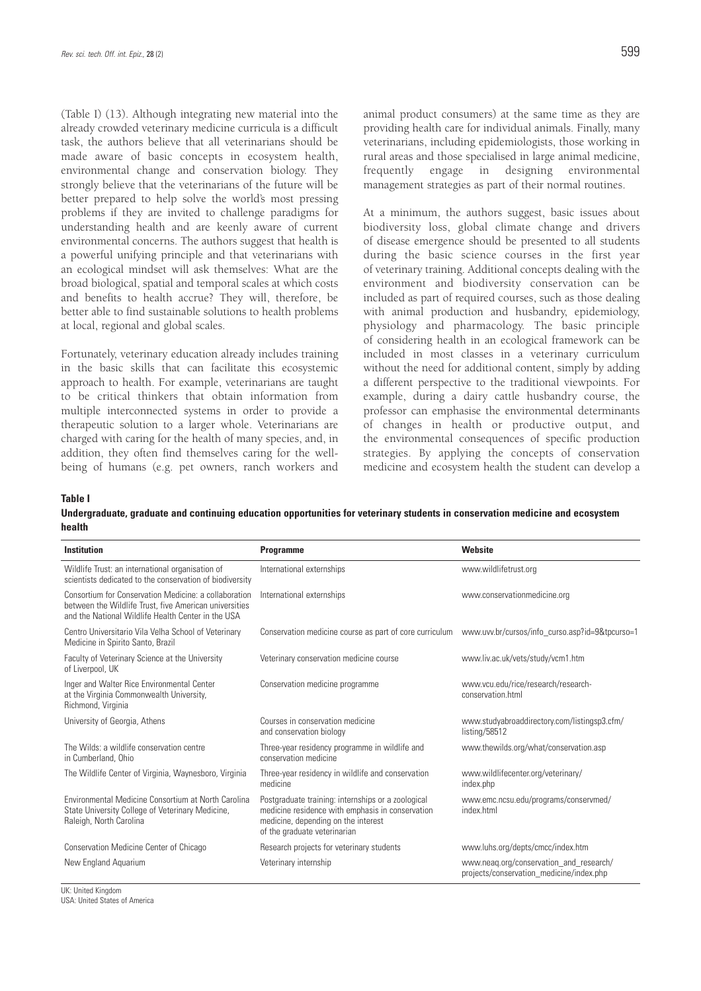(Table I) (13). Although integrating new material into the already crowded veterinary medicine curricula is a difficult task, the authors believe that all veterinarians should be made aware of basic concepts in ecosystem health, environmental change and conservation biology. They strongly believe that the veterinarians of the future will be better prepared to help solve the world's most pressing problems if they are invited to challenge paradigms for understanding health and are keenly aware of current environmental concerns. The authors suggest that health is a powerful unifying principle and that veterinarians with an ecological mindset will ask themselves: What are the broad biological, spatial and temporal scales at which costs and benefits to health accrue? They will, therefore, be better able to find sustainable solutions to health problems at local, regional and global scales.

Fortunately, veterinary education already includes training in the basic skills that can facilitate this ecosystemic approach to health. For example, veterinarians are taught to be critical thinkers that obtain information from multiple interconnected systems in order to provide a therapeutic solution to a larger whole. Veterinarians are charged with caring for the health of many species, and, in addition, they often find themselves caring for the wellbeing of humans (e.g. pet owners, ranch workers and animal product consumers) at the same time as they are providing health care for individual animals. Finally, many veterinarians, including epidemiologists, those working in rural areas and those specialised in large animal medicine, frequently engage in designing environmental management strategies as part of their normal routines.

At a minimum, the authors suggest, basic issues about biodiversity loss, global climate change and drivers of disease emergence should be presented to all students during the basic science courses in the first year of veterinary training. Additional concepts dealing with the environment and biodiversity conservation can be included as part of required courses, such as those dealing with animal production and husbandry, epidemiology, physiology and pharmacology. The basic principle of considering health in an ecological framework can be included in most classes in a veterinary curriculum without the need for additional content, simply by adding a different perspective to the traditional viewpoints. For example, during a dairy cattle husbandry course, the professor can emphasise the environmental determinants of changes in health or productive output, and the environmental consequences of specific production strategies. By applying the concepts of conservation medicine and ecosystem health the student can develop a

**Table I**

**Undergraduate, graduate and continuing education opportunities for veterinary students in conservation medicine and ecosystem health**

| <b>Institution</b>                                                                                                                                                    | <b>Programme</b>                                                                                                                                                              | <b>Website</b>                                                                      |
|-----------------------------------------------------------------------------------------------------------------------------------------------------------------------|-------------------------------------------------------------------------------------------------------------------------------------------------------------------------------|-------------------------------------------------------------------------------------|
| Wildlife Trust: an international organisation of<br>scientists dedicated to the conservation of biodiversity                                                          | International externships                                                                                                                                                     | www.wildlifetrust.org                                                               |
| Consortium for Conservation Medicine: a collaboration<br>between the Wildlife Trust, five American universities<br>and the National Wildlife Health Center in the USA | International externships                                                                                                                                                     | www.conservationmedicine.org                                                        |
| Centro Universitario Vila Velha School of Veterinary<br>Medicine in Spirito Santo, Brazil                                                                             | Conservation medicine course as part of core curriculum                                                                                                                       | www.uvv.br/cursos/info_curso.asp?id=9&tpcurso=1                                     |
| Faculty of Veterinary Science at the University<br>of Liverpool, UK                                                                                                   | Veterinary conservation medicine course                                                                                                                                       | www.liv.ac.uk/vets/study/vcm1.htm                                                   |
| Inger and Walter Rice Environmental Center<br>at the Virginia Commonwealth University,<br>Richmond, Virginia                                                          | Conservation medicine programme                                                                                                                                               | www.vcu.edu/rice/research/research-<br>conservation.html                            |
| University of Georgia, Athens                                                                                                                                         | Courses in conservation medicine<br>and conservation biology                                                                                                                  | www.studyabroaddirectory.com/listingsp3.cfm/<br>listing/58512                       |
| The Wilds: a wildlife conservation centre<br>in Cumberland, Ohio                                                                                                      | Three-year residency programme in wildlife and<br>conservation medicine                                                                                                       | www.thewilds.org/what/conservation.asp                                              |
| The Wildlife Center of Virginia, Waynesboro, Virginia                                                                                                                 | Three-year residency in wildlife and conservation<br>medicine                                                                                                                 | www.wildlifecenter.org/veterinary/<br>index.php                                     |
| Environmental Medicine Consortium at North Carolina<br>State University College of Veterinary Medicine,<br>Raleigh, North Carolina                                    | Postgraduate training: internships or a zoological<br>medicine residence with emphasis in conservation<br>medicine, depending on the interest<br>of the graduate veterinarian | www.emc.ncsu.edu/programs/conservmed/<br>index.html                                 |
| <b>Conservation Medicine Center of Chicago</b>                                                                                                                        | Research projects for veterinary students                                                                                                                                     | www.luhs.org/depts/cmcc/index.htm                                                   |
| New England Aquarium                                                                                                                                                  | Veterinary internship                                                                                                                                                         | www.neag.org/conservation_and_research/<br>projects/conservation_medicine/index.php |

UK: United Kingdom USA: United States of America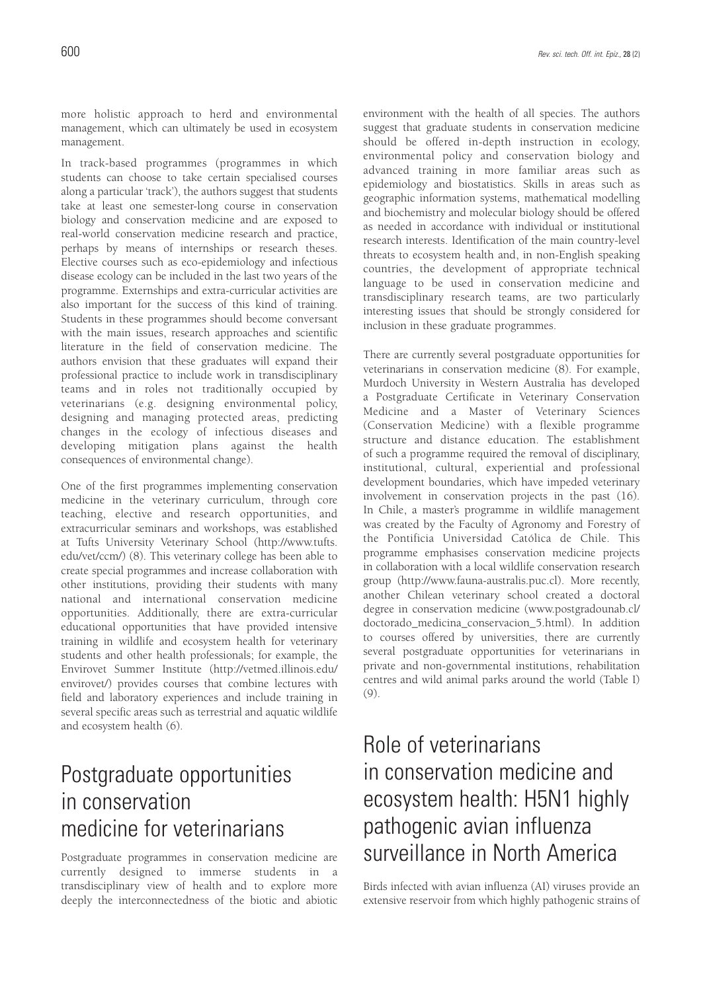more holistic approach to herd and environmental management, which can ultimately be used in ecosystem management.

In track-based programmes (programmes in which students can choose to take certain specialised courses along a particular 'track'), the authors suggest that students take at least one semester-long course in conservation biology and conservation medicine and are exposed to real-world conservation medicine research and practice, perhaps by means of internships or research theses. Elective courses such as eco-epidemiology and infectious disease ecology can be included in the last two years of the programme. Externships and extra-curricular activities are also important for the success of this kind of training. Students in these programmes should become conversant with the main issues, research approaches and scientific literature in the field of conservation medicine. The authors envision that these graduates will expand their professional practice to include work in transdisciplinary teams and in roles not traditionally occupied by veterinarians (e.g. designing environmental policy, designing and managing protected areas, predicting changes in the ecology of infectious diseases and developing mitigation plans against the health consequences of environmental change).

One of the first programmes implementing conservation medicine in the veterinary curriculum, through core teaching, elective and research opportunities, and extracurricular seminars and workshops, was established at Tufts University Veterinary School (http://www.tufts. edu/vet/ccm/) (8). This veterinary college has been able to create special programmes and increase collaboration with other institutions, providing their students with many national and international conservation medicine opportunities. Additionally, there are extra-curricular educational opportunities that have provided intensive training in wildlife and ecosystem health for veterinary students and other health professionals; for example, the Envirovet Summer Institute (http://vetmed.illinois.edu/ envirovet/) provides courses that combine lectures with field and laboratory experiences and include training in several specific areas such as terrestrial and aquatic wildlife and ecosystem health (6).

### Postgraduate opportunities in conservation medicine for veterinarians

Postgraduate programmes in conservation medicine are currently designed to immerse students in a transdisciplinary view of health and to explore more deeply the interconnectedness of the biotic and abiotic environment with the health of all species. The authors suggest that graduate students in conservation medicine should be offered in-depth instruction in ecology, environmental policy and conservation biology and advanced training in more familiar areas such as epidemiology and biostatistics. Skills in areas such as geographic information systems, mathematical modelling and biochemistry and molecular biology should be offered as needed in accordance with individual or institutional research interests. Identification of the main country-level threats to ecosystem health and, in non-English speaking countries, the development of appropriate technical language to be used in conservation medicine and transdisciplinary research teams, are two particularly interesting issues that should be strongly considered for inclusion in these graduate programmes.

There are currently several postgraduate opportunities for veterinarians in conservation medicine (8). For example, Murdoch University in Western Australia has developed a Postgraduate Certificate in Veterinary Conservation Medicine and a Master of Veterinary Sciences (Conservation Medicine) with a flexible programme structure and distance education. The establishment of such a programme required the removal of disciplinary, institutional, cultural, experiential and professional development boundaries, which have impeded veterinary involvement in conservation projects in the past (16). In Chile, a master's programme in wildlife management was created by the Faculty of Agronomy and Forestry of the Pontificia Universidad Católica de Chile. This programme emphasises conservation medicine projects in collaboration with a local wildlife conservation research group (http://www.fauna-australis.puc.cl). More recently, another Chilean veterinary school created a doctoral degree in conservation medicine (www.postgradounab.cl/ doctorado\_medicina\_conservacion\_5.html). In addition to courses offered by universities, there are currently several postgraduate opportunities for veterinarians in private and non-governmental institutions, rehabilitation centres and wild animal parks around the world (Table I) (9).

# Role of veterinarians in conservation medicine and ecosystem health: H5N1 highly pathogenic avian influenza surveillance in North America

Birds infected with avian influenza (AI) viruses provide an extensive reservoir from which highly pathogenic strains of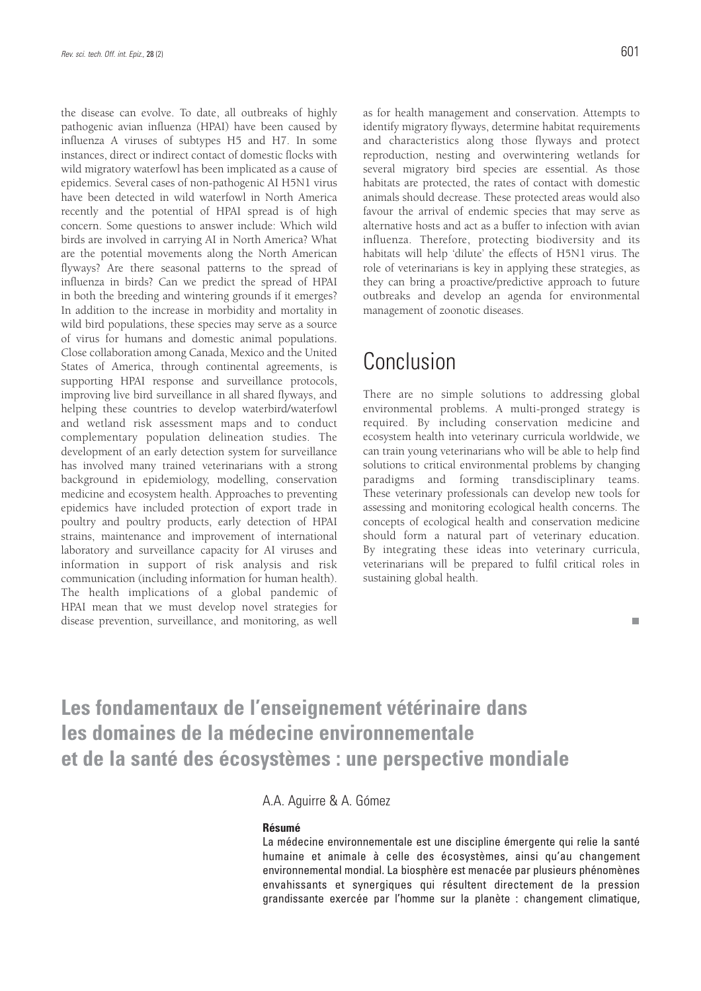the disease can evolve. To date, all outbreaks of highly pathogenic avian influenza (HPAI) have been caused by influenza A viruses of subtypes H5 and H7. In some instances, direct or indirect contact of domestic flocks with wild migratory waterfowl has been implicated as a cause of epidemics. Several cases of non-pathogenic AI H5N1 virus have been detected in wild waterfowl in North America recently and the potential of HPAI spread is of high concern. Some questions to answer include: Which wild birds are involved in carrying AI in North America? What are the potential movements along the North American flyways? Are there seasonal patterns to the spread of influenza in birds? Can we predict the spread of HPAI in both the breeding and wintering grounds if it emerges? In addition to the increase in morbidity and mortality in wild bird populations, these species may serve as a source of virus for humans and domestic animal populations. Close collaboration among Canada, Mexico and the United States of America, through continental agreements, is supporting HPAI response and surveillance protocols, improving live bird surveillance in all shared flyways, and helping these countries to develop waterbird/waterfowl and wetland risk assessment maps and to conduct complementary population delineation studies. The development of an early detection system for surveillance has involved many trained veterinarians with a strong background in epidemiology, modelling, conservation medicine and ecosystem health. Approaches to preventing epidemics have included protection of export trade in poultry and poultry products, early detection of HPAI strains, maintenance and improvement of international laboratory and surveillance capacity for AI viruses and information in support of risk analysis and risk communication (including information for human health). The health implications of a global pandemic of HPAI mean that we must develop novel strategies for disease prevention, surveillance, and monitoring, as well

п

as for health management and conservation. Attempts to identify migratory flyways, determine habitat requirements and characteristics along those flyways and protect reproduction, nesting and overwintering wetlands for several migratory bird species are essential. As those habitats are protected, the rates of contact with domestic animals should decrease. These protected areas would also favour the arrival of endemic species that may serve as alternative hosts and act as a buffer to infection with avian influenza. Therefore, protecting biodiversity and its habitats will help 'dilute' the effects of H5N1 virus. The role of veterinarians is key in applying these strategies, as they can bring a proactive/predictive approach to future outbreaks and develop an agenda for environmental management of zoonotic diseases.

### Conclusion

There are no simple solutions to addressing global environmental problems. A multi-pronged strategy is required. By including conservation medicine and ecosystem health into veterinary curricula worldwide, we can train young veterinarians who will be able to help find solutions to critical environmental problems by changing paradigms and forming transdisciplinary teams. These veterinary professionals can develop new tools for assessing and monitoring ecological health concerns. The concepts of ecological health and conservation medicine should form a natural part of veterinary education. By integrating these ideas into veterinary curricula, veterinarians will be prepared to fulfil critical roles in sustaining global health.

### **Les fondamentaux de l'enseignement vétérinaire dans les domaines de la médecine environnementale et de la santé des écosystèmes : une perspective mondiale**

### A.A. Aguirre & A. Gómez

### **Résumé**

La médecine environnementale est une discipline émergente qui relie la santé humaine et animale à celle des écosystèmes, ainsi qu'au changement environnemental mondial. La biosphère est menacée par plusieurs phénomènes envahissants et synergiques qui résultent directement de la pression grandissante exercée par l'homme sur la planète : changement climatique,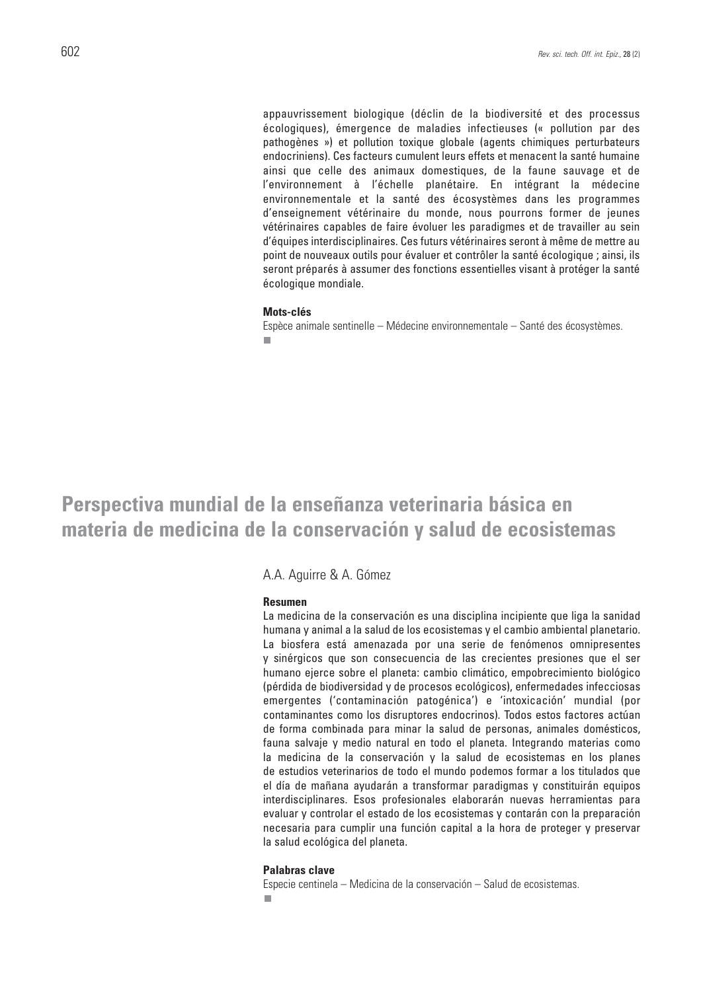appauvrissement biologique (déclin de la biodiversité et des processus écologiques), émergence de maladies infectieuses (« pollution par des pathogènes ») et pollution toxique globale (agents chimiques perturbateurs endocriniens). Ces facteurs cumulent leurs effets et menacent la santé humaine ainsi que celle des animaux domestiques, de la faune sauvage et de l'environnement à l'échelle planétaire. En intégrant la médecine environnementale et la santé des écosystèmes dans les programmes d'enseignement vétérinaire du monde, nous pourrons former de jeunes vétérinaires capables de faire évoluer les paradigmes et de travailler au sein d'équipes interdisciplinaires. Ces futurs vétérinaires seront à même de mettre au point de nouveaux outils pour évaluer et contrôler la santé écologique ; ainsi, ils seront préparés à assumer des fonctions essentielles visant à protéger la santé écologique mondiale.

#### **Mots-clés**

Espèce animale sentinelle – Médecine environnementale – Santé des écosystèmes. $\overline{\phantom{a}}$ 

### **Perspectiva mundial de la enseñanza veterinaria básica en materia de medicina de la conservación y salud de ecosistemas**

#### A.A. Aguirre & A. Gómez

#### **Resumen**

La medicina de la conservación es una disciplina incipiente que liga la sanidad humana y animal a la salud de los ecosistemas y el cambio ambiental planetario. La biosfera está amenazada por una serie de fenómenos omnipresentes y sinérgicos que son consecuencia de las crecientes presiones que el ser humano ejerce sobre el planeta: cambio climático, empobrecimiento biológico (pérdida de biodiversidad y de procesos ecológicos), enfermedades infecciosas emergentes ('contaminación patogénica') e 'intoxicación' mundial (por contaminantes como los disruptores endocrinos). Todos estos factores actúan de forma combinada para minar la salud de personas, animales domésticos, fauna salvaje y medio natural en todo el planeta. Integrando materias como la medicina de la conservación y la salud de ecosistemas en los planes de estudios veterinarios de todo el mundo podemos formar a los titulados que el día de mañana ayudarán a transformar paradigmas y constituirán equipos interdisciplinares. Esos profesionales elaborarán nuevas herramientas para evaluar y controlar el estado de los ecosistemas y contarán con la preparación necesaria para cumplir una función capital a la hora de proteger y preservar la salud ecológica del planeta.

#### **Palabras clave**

Especie centinela – Medicina de la conservación – Salud de ecosistemas. ш